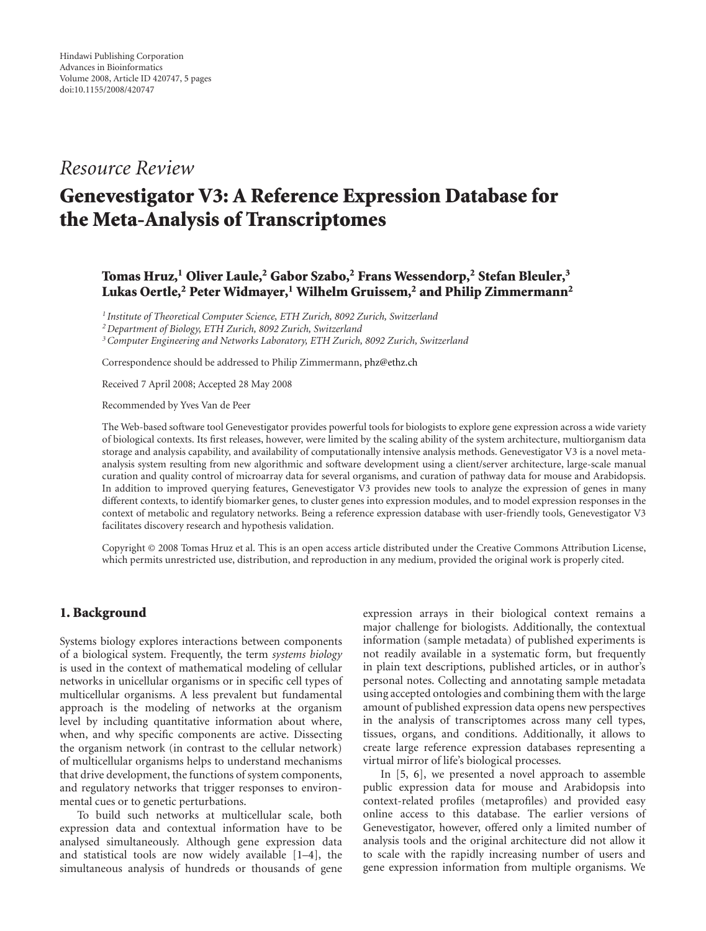## *Resource Review*

# **Genevestigator V3: A Reference Expression Database for the Meta-Analysis of Transcriptomes**

## **Tomas Hruz,<sup>1</sup> Oliver Laule,<sup>2</sup> Gabor Szabo,<sup>2</sup> Frans Wessendorp,<sup>2</sup> Stefan Bleuler,<sup>3</sup> Lukas Oertle,2 Peter Widmayer,1 Wilhelm Gruissem,2 and Philip Zimmermann2**

*<sup>1</sup> Institute of Theoretical Computer Science, ETH Zurich, 8092 Zurich, Switzerland*

*3Computer Engineering and Networks Laboratory, ETH Zurich, 8092 Zurich, Switzerland*

Correspondence should be addressed to Philip Zimmermann, [phz@ethz.ch](mailto:phz@ethz.ch)

Received 7 April 2008; Accepted 28 May 2008

Recommended by Yves Van de Peer

The Web-based software tool Genevestigator provides powerful tools for biologists to explore gene expression across a wide variety of biological contexts. Its first releases, however, were limited by the scaling ability of the system architecture, multiorganism data storage and analysis capability, and availability of computationally intensive analysis methods. Genevestigator V3 is a novel metaanalysis system resulting from new algorithmic and software development using a client/server architecture, large-scale manual curation and quality control of microarray data for several organisms, and curation of pathway data for mouse and Arabidopsis. In addition to improved querying features, Genevestigator V3 provides new tools to analyze the expression of genes in many different contexts, to identify biomarker genes, to cluster genes into expression modules, and to model expression responses in the context of metabolic and regulatory networks. Being a reference expression database with user-friendly tools, Genevestigator V3 facilitates discovery research and hypothesis validation.

Copyright © 2008 Tomas Hruz et al. This is an open access article distributed under the Creative Commons Attribution License, which permits unrestricted use, distribution, and reproduction in any medium, provided the original work is properly cited.

### **1. Background**

Systems biology explores interactions between components of a biological system. Frequently, the term *systems biology* is used in the context of mathematical modeling of cellular networks in unicellular organisms or in specific cell types of multicellular organisms. A less prevalent but fundamental approach is the modeling of networks at the organism level by including quantitative information about where, when, and why specific components are active. Dissecting the organism network (in contrast to the cellular network) of multicellular organisms helps to understand mechanisms that drive development, the functions of system components, and regulatory networks that trigger responses to environmental cues or to genetic perturbations.

To build such networks at multicellular scale, both expression data and contextual information have to be analysed simultaneously. Although gene expression data and statistical tools are now widely available [\[1](#page-4-1)[–4\]](#page-4-2), the simultaneous analysis of hundreds or thousands of gene

expression arrays in their biological context remains a major challenge for biologists. Additionally, the contextual information (sample metadata) of published experiments is not readily available in a systematic form, but frequently in plain text descriptions, published articles, or in author's personal notes. Collecting and annotating sample metadata using accepted ontologies and combining them with the large amount of published expression data opens new perspectives in the analysis of transcriptomes across many cell types, tissues, organs, and conditions. Additionally, it allows to create large reference expression databases representing a virtual mirror of life's biological processes.

In [\[5](#page-4-3), [6](#page-4-4)], we presented a novel approach to assemble public expression data for mouse and Arabidopsis into context-related profiles (metaprofiles) and provided easy online access to this database. The earlier versions of Genevestigator, however, offered only a limited number of analysis tools and the original architecture did not allow it to scale with the rapidly increasing number of users and gene expression information from multiple organisms. We

*<sup>2</sup>Department of Biology, ETH Zurich, 8092 Zurich, Switzerland*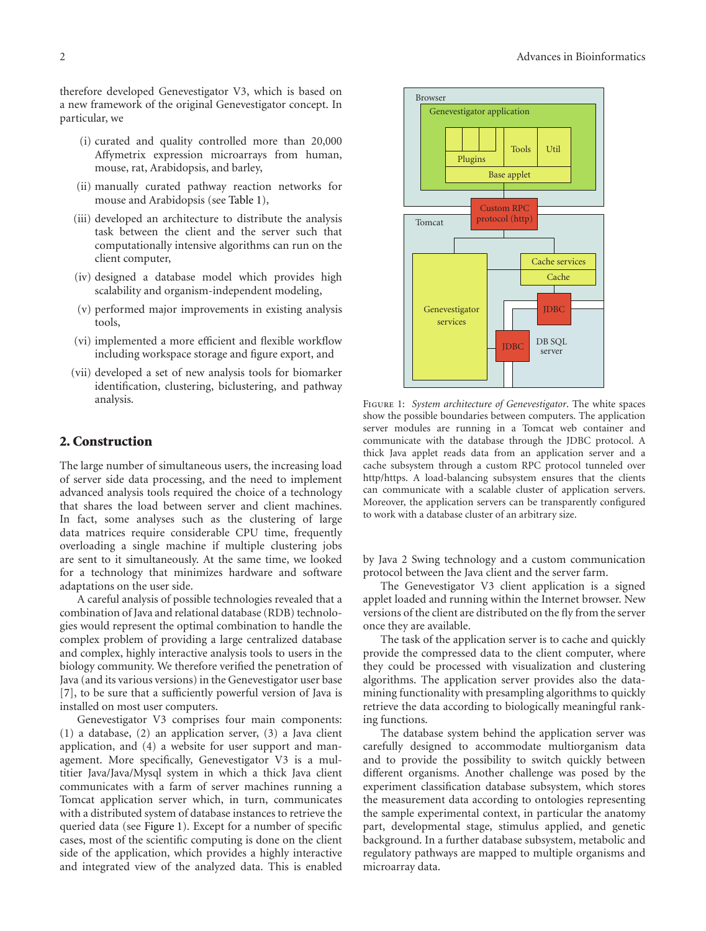therefore developed Genevestigator V3, which is based on a new framework of the original Genevestigator concept. In particular, we

- (i) curated and quality controlled more than 20,000 Affymetrix expression microarrays from human, mouse, rat, Arabidopsis, and barley,
- (ii) manually curated pathway reaction networks for mouse and Arabidopsis (see [Table 1\)](#page-2-0),
- (iii) developed an architecture to distribute the analysis task between the client and the server such that computationally intensive algorithms can run on the client computer,
- (iv) designed a database model which provides high scalability and organism-independent modeling,
- (v) performed major improvements in existing analysis tools,
- (vi) implemented a more efficient and flexible workflow including workspace storage and figure export, and
- (vii) developed a set of new analysis tools for biomarker identification, clustering, biclustering, and pathway analysis.

### **2. Construction**

The large number of simultaneous users, the increasing load of server side data processing, and the need to implement advanced analysis tools required the choice of a technology that shares the load between server and client machines. In fact, some analyses such as the clustering of large data matrices require considerable CPU time, frequently overloading a single machine if multiple clustering jobs are sent to it simultaneously. At the same time, we looked for a technology that minimizes hardware and software adaptations on the user side.

A careful analysis of possible technologies revealed that a combination of Java and relational database (RDB) technologies would represent the optimal combination to handle the complex problem of providing a large centralized database and complex, highly interactive analysis tools to users in the biology community. We therefore verified the penetration of Java (and its various versions) in the Genevestigator user base [\[7](#page-4-5)], to be sure that a sufficiently powerful version of Java is installed on most user computers.

Genevestigator V3 comprises four main components: (1) a database, (2) an application server, (3) a Java client application, and (4) a website for user support and management. More specifically, Genevestigator V3 is a multitier Java/Java/Mysql system in which a thick Java client communicates with a farm of server machines running a Tomcat application server which, in turn, communicates with a distributed system of database instances to retrieve the queried data (see [Figure 1\)](#page-1-0). Except for a number of specific cases, most of the scientific computing is done on the client side of the application, which provides a highly interactive and integrated view of the analyzed data. This is enabled



<span id="page-1-0"></span>Figure 1: *System architecture of Genevestigator*. The white spaces show the possible boundaries between computers. The application server modules are running in a Tomcat web container and communicate with the database through the JDBC protocol. A thick Java applet reads data from an application server and a cache subsystem through a custom RPC protocol tunneled over http/https. A load-balancing subsystem ensures that the clients can communicate with a scalable cluster of application servers. Moreover, the application servers can be transparently configured to work with a database cluster of an arbitrary size.

by Java 2 Swing technology and a custom communication protocol between the Java client and the server farm.

The Genevestigator V3 client application is a signed applet loaded and running within the Internet browser. New versions of the client are distributed on the fly from the server once they are available.

The task of the application server is to cache and quickly provide the compressed data to the client computer, where they could be processed with visualization and clustering algorithms. The application server provides also the datamining functionality with presampling algorithms to quickly retrieve the data according to biologically meaningful ranking functions.

The database system behind the application server was carefully designed to accommodate multiorganism data and to provide the possibility to switch quickly between different organisms. Another challenge was posed by the experiment classification database subsystem, which stores the measurement data according to ontologies representing the sample experimental context, in particular the anatomy part, developmental stage, stimulus applied, and genetic background. In a further database subsystem, metabolic and regulatory pathways are mapped to multiple organisms and microarray data.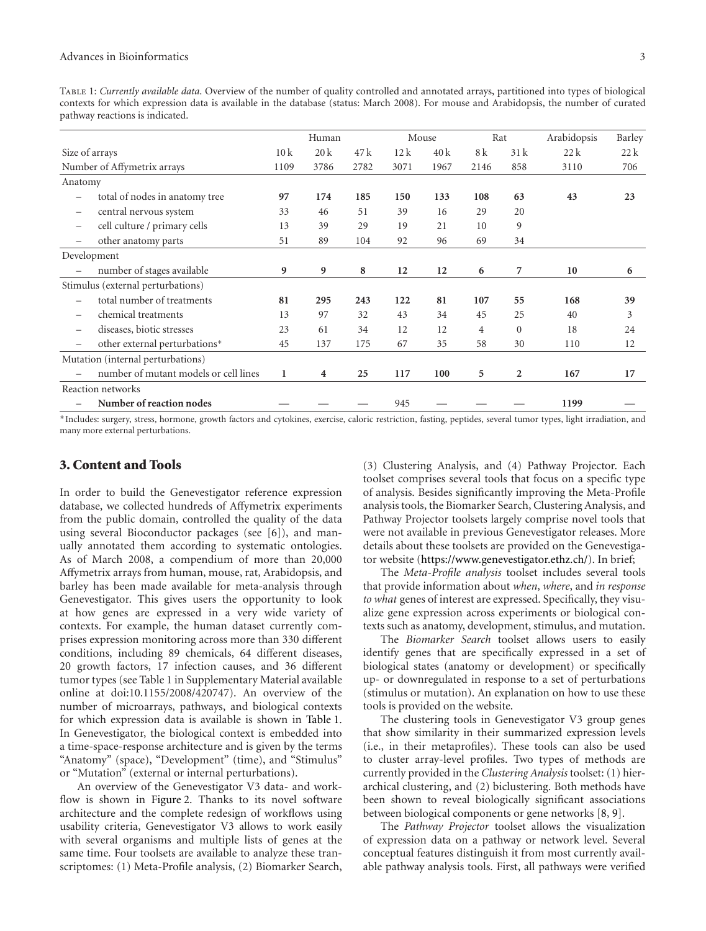<span id="page-2-0"></span>Table 1: *Currently available data*. Overview of the number of quality controlled and annotated arrays, partitioned into types of biological contexts for which expression data is available in the database (status: March 2008). For mouse and Arabidopsis, the number of curated pathway reactions is indicated.

|                             |                                       |      |                |      | Mouse |      | Rat  |              |             |        |
|-----------------------------|---------------------------------------|------|----------------|------|-------|------|------|--------------|-------------|--------|
|                             |                                       |      | Human          |      |       |      |      |              | Arabidopsis | Barley |
| Size of arrays              |                                       | 10k  | 20k            | 47 k | 12k   | 40 k | 8 k  | 31k          | 22k         | 22k    |
| Number of Affymetrix arrays |                                       | 1109 | 3786           | 2782 | 3071  | 1967 | 2146 | 858          | 3110        | 706    |
| Anatomy                     |                                       |      |                |      |       |      |      |              |             |        |
|                             | total of nodes in anatomy tree        | 97   | 174            | 185  | 150   | 133  | 108  | 63           | 43          | 23     |
| $\overline{\phantom{0}}$    | central nervous system                | 33   | 46             | 51   | 39    | 16   | 29   | 20           |             |        |
| $\overline{\phantom{m}}$    | cell culture / primary cells          | 13   | 39             | 29   | 19    | 21   | 10   | 9            |             |        |
| $\qquad \qquad -$           | other anatomy parts                   | 51   | 89             | 104  | 92    | 96   | 69   | 34           |             |        |
|                             | Development                           |      |                |      |       |      |      |              |             |        |
|                             | number of stages available            | 9    | 9              | 8    | 12    | 12   | 6    | 7            | 10          | 6      |
|                             | Stimulus (external perturbations)     |      |                |      |       |      |      |              |             |        |
| $\qquad \qquad -$           | total number of treatments            | 81   | 295            | 243  | 122   | 81   | 107  | 55           | 168         | 39     |
| $\overline{\phantom{m}}$    | chemical treatments                   | 13   | 97             | 32   | 43    | 34   | 45   | 25           | 40          | 3      |
| $\overline{\phantom{m}}$    | diseases, biotic stresses             | 23   | 61             | 34   | 12    | 12   | 4    | $\mathbf{0}$ | 18          | 24     |
| $\qquad \qquad -$           | other external perturbations*         | 45   | 137            | 175  | 67    | 35   | 58   | 30           | 110         | 12     |
|                             | Mutation (internal perturbations)     |      |                |      |       |      |      |              |             |        |
|                             | number of mutant models or cell lines | 1    | $\overline{4}$ | 25   | 117   | 100  | 5    | 2            | 167         | 17     |
|                             | Reaction networks                     |      |                |      |       |      |      |              |             |        |
|                             | Number of reaction nodes              |      |                |      | 945   |      |      |              | 1199        |        |
|                             |                                       |      |                |      |       |      |      |              |             |        |

<sup>∗</sup>Includes: surgery, stress, hormone, growth factors and cytokines, exercise, caloric restriction, fasting, peptides, several tumor types, light irradiation, and many more external perturbations.

## **3. Content and Tools**

In order to build the Genevestigator reference expression database, we collected hundreds of Affymetrix experiments from the public domain, controlled the quality of the data using several Bioconductor packages (see [\[6\]](#page-4-4)), and manually annotated them according to systematic ontologies. As of March 2008, a compendium of more than 20,000 Affymetrix arrays from human, mouse, rat, Arabidopsis, and barley has been made available for meta-analysis through Genevestigator. This gives users the opportunity to look at how genes are expressed in a very wide variety of contexts. For example, the human dataset currently comprises expression monitoring across more than 330 different conditions, including 89 chemicals, 64 different diseases, 20 growth factors, 17 infection causes, and 36 different tumor types (see Table 1 in Supplementary Material available online at doi:10.1155/2008/420747). An overview of the number of microarrays, pathways, and biological contexts for which expression data is available is shown in [Table 1.](#page-2-0) In Genevestigator, the biological context is embedded into a time-space-response architecture and is given by the terms "Anatomy" (space), "Development" (time), and "Stimulus" or "Mutation" (external or internal perturbations).

An overview of the Genevestigator V3 data- and workflow is shown in [Figure 2.](#page-3-0) Thanks to its novel software architecture and the complete redesign of workflows using usability criteria, Genevestigator V3 allows to work easily with several organisms and multiple lists of genes at the same time. Four toolsets are available to analyze these transcriptomes: (1) Meta-Profile analysis, (2) Biomarker Search,

(3) Clustering Analysis, and (4) Pathway Projector. Each toolset comprises several tools that focus on a specific type of analysis. Besides significantly improving the Meta-Profile analysis tools, the Biomarker Search, Clustering Analysis, and Pathway Projector toolsets largely comprise novel tools that were not available in previous Genevestigator releases. More details about these toolsets are provided on the Genevestigator website [\(https://www.genevestigator.ethz.ch/\)](https://www.genevestigator.ethz.ch/). In brief;

The *Meta-Profile analysis* toolset includes several tools that provide information about *when*, *where*, and *in response to what* genes of interest are expressed. Specifically, they visualize gene expression across experiments or biological contexts such as anatomy, development, stimulus, and mutation.

The *Biomarker Search* toolset allows users to easily identify genes that are specifically expressed in a set of biological states (anatomy or development) or specifically up- or downregulated in response to a set of perturbations (stimulus or mutation). An explanation on how to use these tools is provided on the website.

The clustering tools in Genevestigator V3 group genes that show similarity in their summarized expression levels (i.e., in their metaprofiles). These tools can also be used to cluster array-level profiles. Two types of methods are currently provided in the *Clustering Analysis* toolset: (1) hierarchical clustering, and (2) biclustering. Both methods have been shown to reveal biologically significant associations between biological components or gene networks [\[8,](#page-4-6) [9](#page-4-7)].

The *Pathway Projector* toolset allows the visualization of expression data on a pathway or network level. Several conceptual features distinguish it from most currently available pathway analysis tools. First, all pathways were verified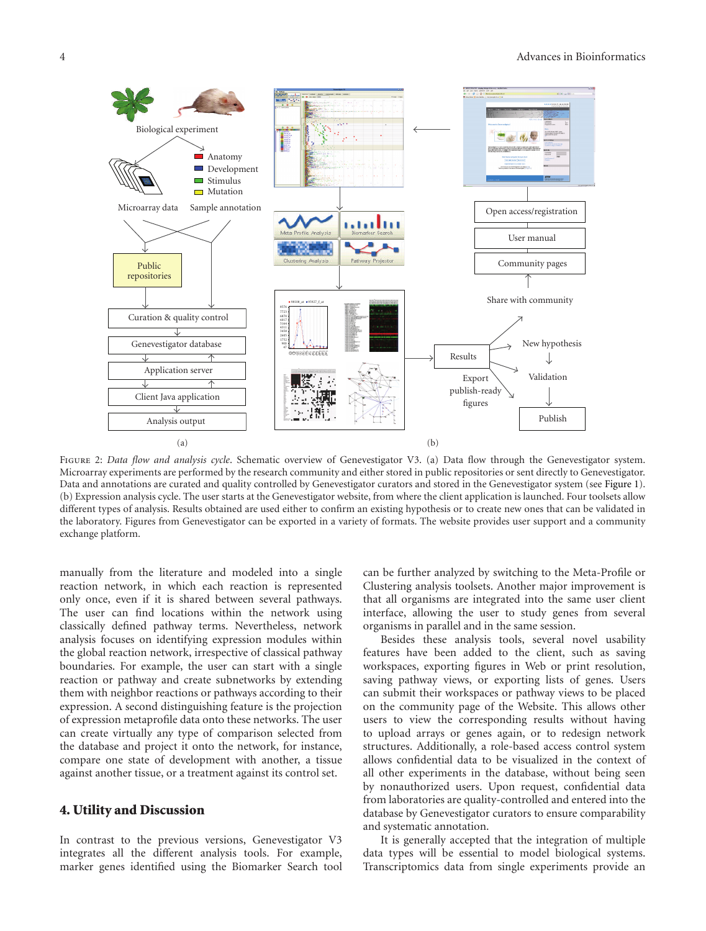

<span id="page-3-0"></span>Figure 2: *Data flow and analysis cycle*. Schematic overview of Genevestigator V3. (a) Data flow through the Genevestigator system. Microarray experiments are performed by the research community and either stored in public repositories or sent directly to Genevestigator. Data and annotations are curated and quality controlled by Genevestigator curators and stored in the Genevestigator system (see [Figure 1\)](#page-1-0). (b) Expression analysis cycle. The user starts at the Genevestigator website, from where the client application is launched. Four toolsets allow different types of analysis. Results obtained are used either to confirm an existing hypothesis or to create new ones that can be validated in the laboratory. Figures from Genevestigator can be exported in a variety of formats. The website provides user support and a community exchange platform.

manually from the literature and modeled into a single reaction network, in which each reaction is represented only once, even if it is shared between several pathways. The user can find locations within the network using classically defined pathway terms. Nevertheless, network analysis focuses on identifying expression modules within the global reaction network, irrespective of classical pathway boundaries. For example, the user can start with a single reaction or pathway and create subnetworks by extending them with neighbor reactions or pathways according to their expression. A second distinguishing feature is the projection of expression metaprofile data onto these networks. The user can create virtually any type of comparison selected from the database and project it onto the network, for instance, compare one state of development with another, a tissue against another tissue, or a treatment against its control set.

#### **4. Utility and Discussion**

In contrast to the previous versions, Genevestigator V3 integrates all the different analysis tools. For example, marker genes identified using the Biomarker Search tool can be further analyzed by switching to the Meta-Profile or Clustering analysis toolsets. Another major improvement is that all organisms are integrated into the same user client interface, allowing the user to study genes from several organisms in parallel and in the same session.

Besides these analysis tools, several novel usability features have been added to the client, such as saving workspaces, exporting figures in Web or print resolution, saving pathway views, or exporting lists of genes. Users can submit their workspaces or pathway views to be placed on the community page of the Website. This allows other users to view the corresponding results without having to upload arrays or genes again, or to redesign network structures. Additionally, a role-based access control system allows confidential data to be visualized in the context of all other experiments in the database, without being seen by nonauthorized users. Upon request, confidential data from laboratories are quality-controlled and entered into the database by Genevestigator curators to ensure comparability and systematic annotation.

It is generally accepted that the integration of multiple data types will be essential to model biological systems. Transcriptomics data from single experiments provide an